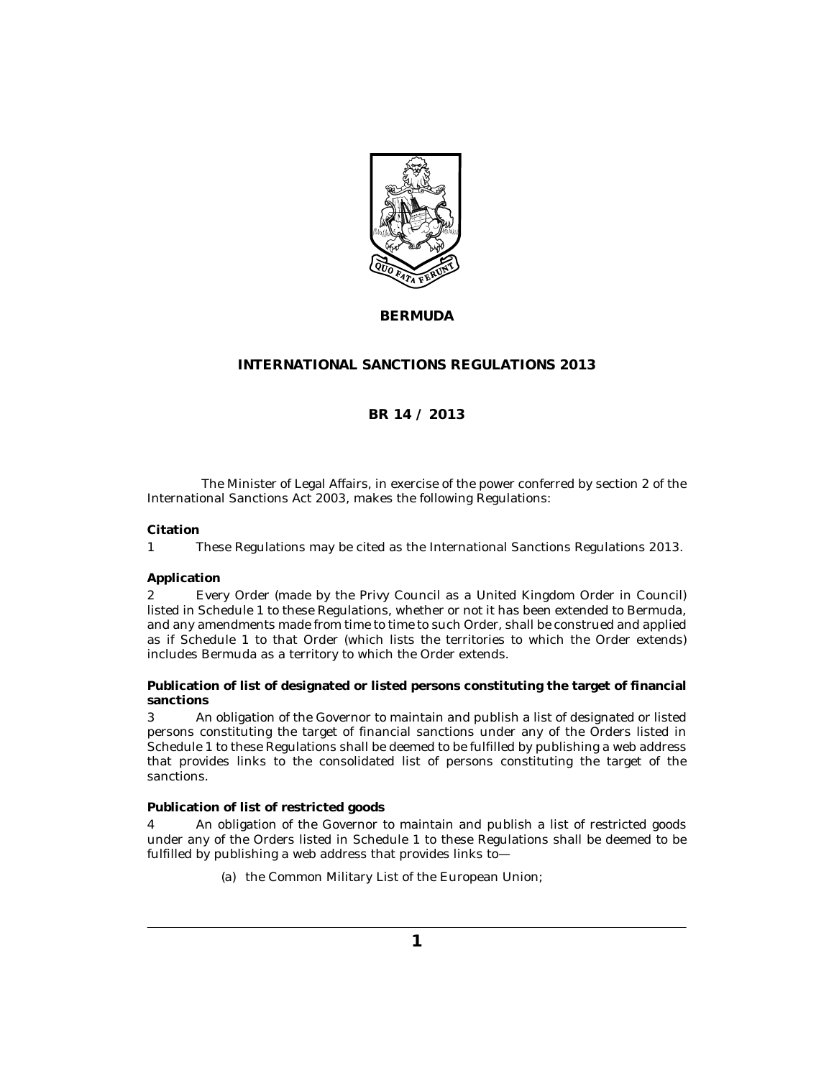

**BERMUDA**

## **INTERNATIONAL SANCTIONS REGULATIONS 2013**

## **BR 14 / 2013**

The Minister of Legal Affairs, in exercise of the power conferred by section 2 of the International Sanctions Act 2003, makes the following Regulations:

#### **Citation**

These Regulations may be cited as the International Sanctions Regulations 2013. 1

#### **Application**

Every Order (made by the Privy Council as a United Kingdom Order in Council) listed in Schedule 1 to these Regulations, whether or not it has been extended to Bermuda, and any amendments made from time to time to such Order, shall be construed and applied as if Schedule 1 to that Order (which lists the territories to which the Order extends) includes Bermuda as a territory to which the Order extends. 2

**Publication of list of designated or listed persons constituting the target of financial sanctions**

An obligation of the Governor to maintain and publish a list of designated or listed persons constituting the target of financial sanctions under any of the Orders listed in Schedule 1 to these Regulations shall be deemed to be fulfilled by publishing a web address that provides links to the consolidated list of persons constituting the target of the sanctions. 3

**Publication of list of restricted goods**

An obligation of the Governor to maintain and publish a list of restricted goods under any of the Orders listed in Schedule 1 to these Regulations shall be deemed to be fulfilled by publishing a web address that provides links to— 4

(a) the Common Military List of the European Union;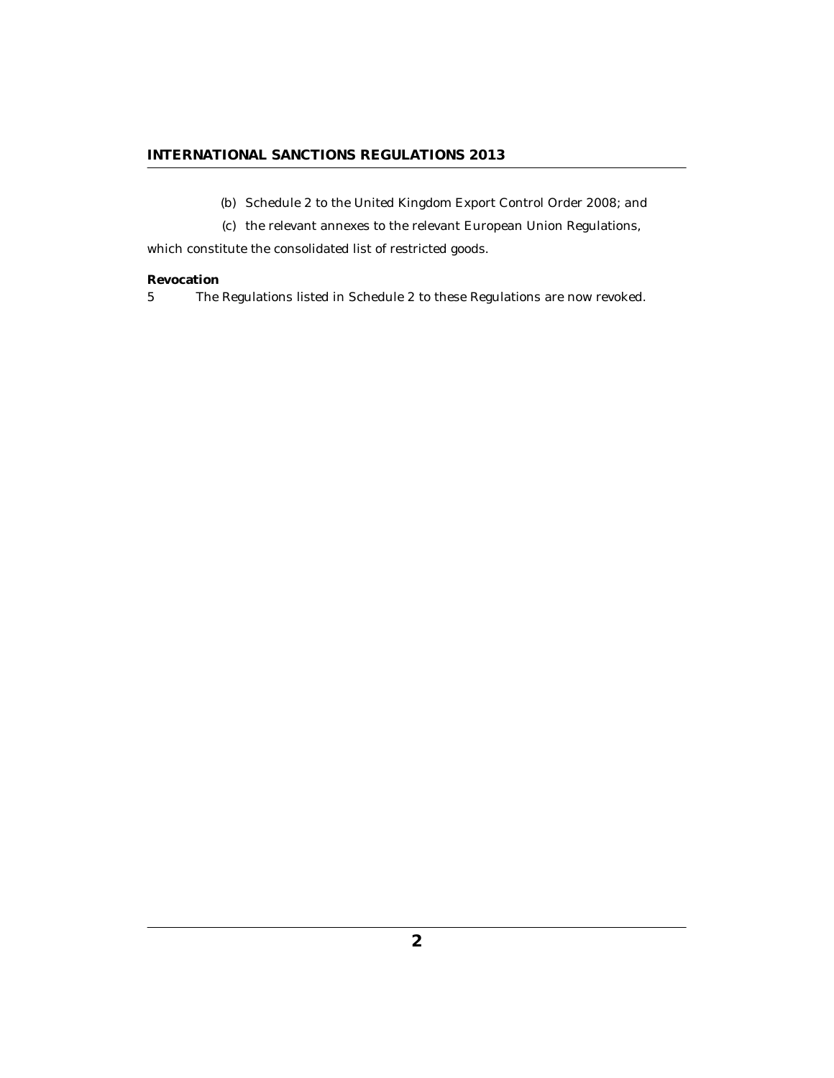## **INTERNATIONAL SANCTIONS REGULATIONS 2013**

- (b) Schedule 2 to the United Kingdom Export Control Order 2008; and
- (c) the relevant annexes to the relevant European Union Regulations,

which constitute the consolidated list of restricted goods.

#### **Revocation**

The Regulations listed in Schedule 2 to these Regulations are now revoked. 5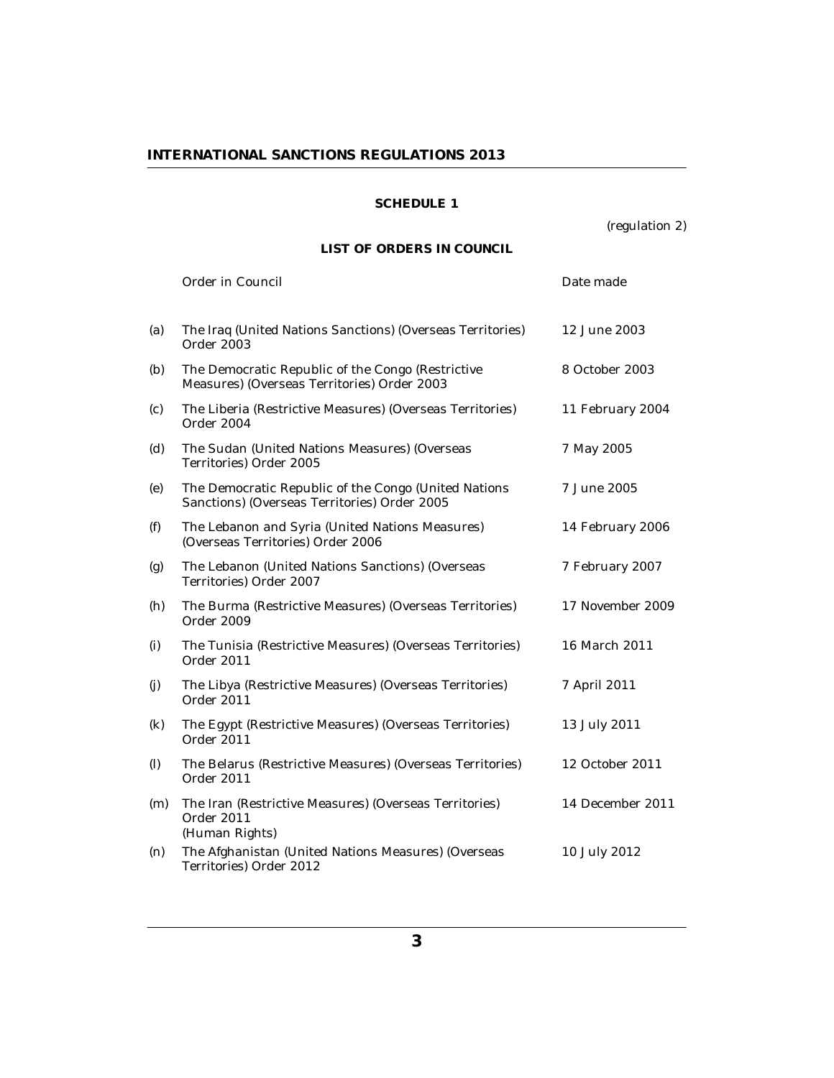## **INTERNATIONAL SANCTIONS REGULATIONS 2013**

## **SCHEDULE 1**

(regulation 2)

# **LIST OF ORDERS IN COUNCIL**

|                            | Order in Council                                                                                     | Date made        |
|----------------------------|------------------------------------------------------------------------------------------------------|------------------|
| (a)                        | The Iraq (United Nations Sanctions) (Overseas Territories)<br>Order 2003                             | 12 June 2003     |
| (b)                        | The Democratic Republic of the Congo (Restrictive<br>Measures) (Overseas Territories) Order 2003     | 8 October 2003   |
| (c)                        | The Liberia (Restrictive Measures) (Overseas Territories)<br>Order 2004                              | 11 February 2004 |
| (d)                        | The Sudan (United Nations Measures) (Overseas<br>Territories) Order 2005                             | 7 May 2005       |
| (e)                        | The Democratic Republic of the Congo (United Nations<br>Sanctions) (Overseas Territories) Order 2005 | 7 June 2005      |
| (f)                        | The Lebanon and Syria (United Nations Measures)<br>(Overseas Territories) Order 2006                 | 14 February 2006 |
| (g)                        | The Lebanon (United Nations Sanctions) (Overseas<br>Territories) Order 2007                          | 7 February 2007  |
| (h)                        | The Burma (Restrictive Measures) (Overseas Territories)<br>Order 2009                                | 17 November 2009 |
| (i)                        | The Tunisia (Restrictive Measures) (Overseas Territories)<br>Order 2011                              | 16 March 2011    |
| (j)                        | The Libya (Restrictive Measures) (Overseas Territories)<br>Order 2011                                | 7 April 2011     |
| $\left( \mathbf{k}\right)$ | The Egypt (Restrictive Measures) (Overseas Territories)<br>Order 2011                                | 13 July 2011     |
| (1)                        | The Belarus (Restrictive Measures) (Overseas Territories)<br>Order 2011                              | 12 October 2011  |
| (m)                        | The Iran (Restrictive Measures) (Overseas Territories)<br>Order 2011<br>(Human Rights)               | 14 December 2011 |
| (n)                        | The Afghanistan (United Nations Measures) (Overseas<br>Territories) Order 2012                       | 10 July 2012     |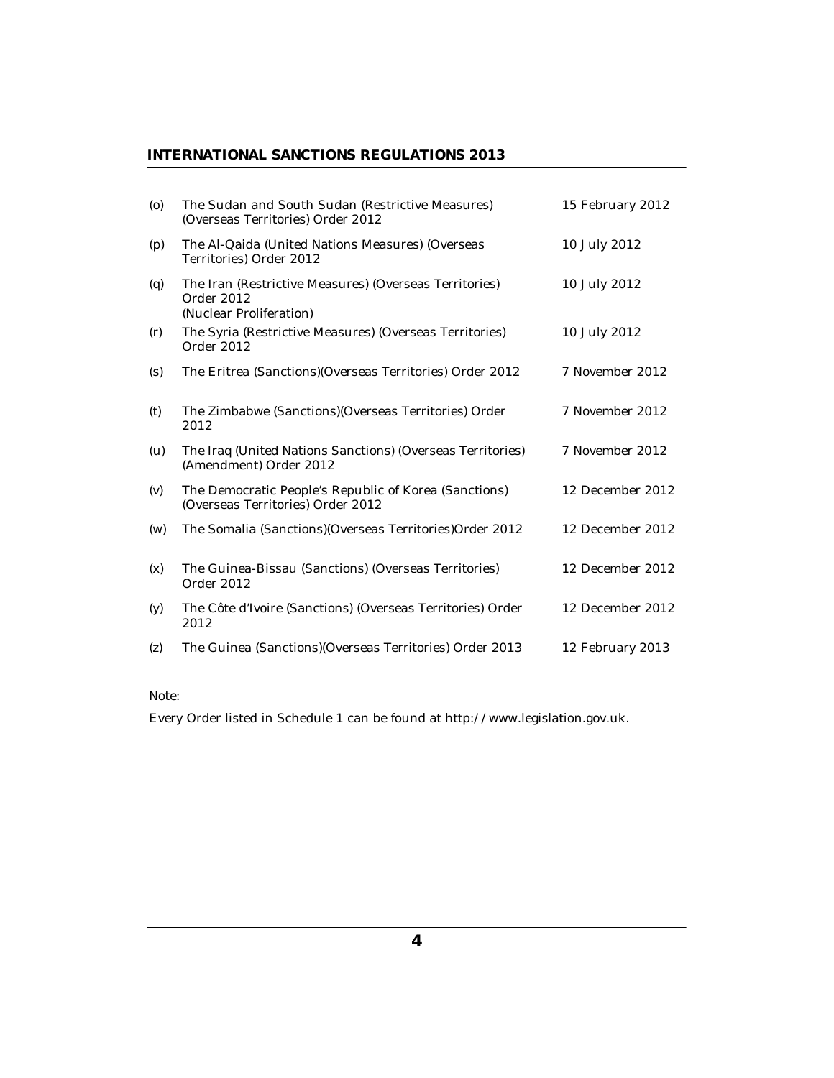## **INTERNATIONAL SANCTIONS REGULATIONS 2013**

| $\left( 0 \right)$ | The Sudan and South Sudan (Restrictive Measures)<br>(Overseas Territories) Order 2012           | 15 February 2012 |
|--------------------|-------------------------------------------------------------------------------------------------|------------------|
| (p)                | The Al-Qaida (United Nations Measures) (Overseas<br>Territories) Order 2012                     | 10 July 2012     |
| (q)                | The Iran (Restrictive Measures) (Overseas Territories)<br>Order 2012<br>(Nuclear Proliferation) | 10 July 2012     |
| (r)                | The Syria (Restrictive Measures) (Overseas Territories)<br>Order 2012                           | 10 July 2012     |
| (s)                | The Eritrea (Sanctions) (Overseas Territories) Order 2012                                       | 7 November 2012  |
| (t)                | The Zimbabwe (Sanctions) (Overseas Territories) Order<br>2012                                   | 7 November 2012  |
| (u)                | The Iraq (United Nations Sanctions) (Overseas Territories)<br>(Amendment) Order 2012            | 7 November 2012  |
| (v)                | The Democratic People's Republic of Korea (Sanctions)<br>(Overseas Territories) Order 2012      | 12 December 2012 |
| (w)                | The Somalia (Sanctions) (Overseas Territories) Order 2012                                       | 12 December 2012 |
| (x)                | The Guinea-Bissau (Sanctions) (Overseas Territories)<br>Order 2012                              | 12 December 2012 |
| (y)                | The Côte d'Ivoire (Sanctions) (Overseas Territories) Order<br>2012                              | 12 December 2012 |
| (z)                | The Guinea (Sanctions) (Overseas Territories) Order 2013                                        | 12 February 2013 |

Note:

Every Order listed in Schedule 1 can be found at http://www.legislation.gov.uk.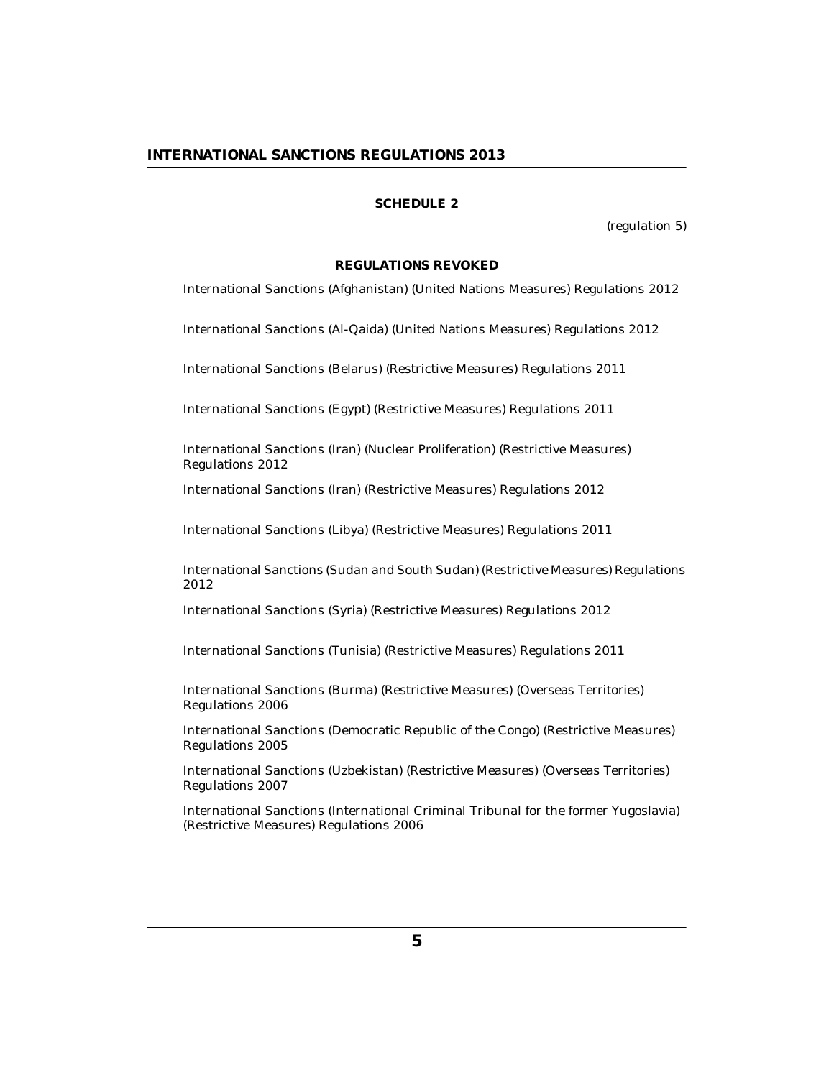#### **SCHEDULE 2**

(regulation 5)

#### **REGULATIONS REVOKED**

International Sanctions (Afghanistan) (United Nations Measures) Regulations 2012

International Sanctions (Al-Qaida) (United Nations Measures) Regulations 2012

International Sanctions (Belarus) (Restrictive Measures) Regulations 2011

International Sanctions (Egypt) (Restrictive Measures) Regulations 2011

International Sanctions (Iran) (Nuclear Proliferation) (Restrictive Measures) Regulations 2012

International Sanctions (Iran) (Restrictive Measures) Regulations 2012

International Sanctions (Libya) (Restrictive Measures) Regulations 2011

International Sanctions (Sudan and South Sudan) (Restrictive Measures) Regulations 2012

International Sanctions (Syria) (Restrictive Measures) Regulations 2012

International Sanctions (Tunisia) (Restrictive Measures) Regulations 2011

International Sanctions (Burma) (Restrictive Measures) (Overseas Territories) Regulations 2006

International Sanctions (Democratic Republic of the Congo) (Restrictive Measures) Regulations 2005

International Sanctions (Uzbekistan) (Restrictive Measures) (Overseas Territories) Regulations 2007

International Sanctions (International Criminal Tribunal for the former Yugoslavia) (Restrictive Measures) Regulations 2006